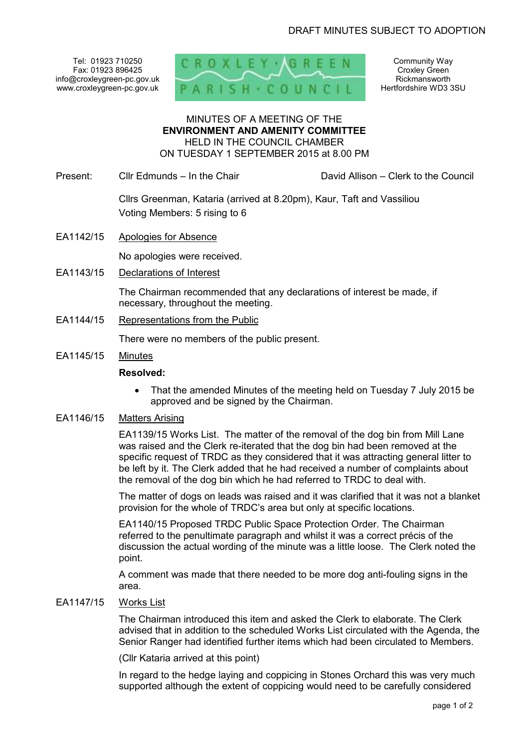Tel: 01923 710250 Fax: 01923 896425 info@croxleygreen-pc.gov.uk www.croxleygreen-pc.gov.uk



Community Way Croxley Green Rickmansworth Hertfordshire WD3 3SU

#### MINUTES OF A MEETING OF THE **ENVIRONMENT AND AMENITY COMMITTEE** HELD IN THE COUNCIL CHAMBER ON TUESDAY 1 SEPTEMBER 2015 at 8.00 PM

Present: Cllr Edmunds – In the Chair David Allison – Clerk to the Council

 Cllrs Greenman, Kataria (arrived at 8.20pm), Kaur, Taft and Vassiliou Voting Members: 5 rising to 6

EA1142/15 Apologies for Absence

No apologies were received.

EA1143/15 Declarations of Interest

The Chairman recommended that any declarations of interest be made, if necessary, throughout the meeting.

EA1144/15 Representations from the Public

There were no members of the public present.

EA1145/15 Minutes

#### **Resolved:**

• That the amended Minutes of the meeting held on Tuesday 7 July 2015 be approved and be signed by the Chairman.

### EA1146/15 Matters Arising

EA1139/15 Works List. The matter of the removal of the dog bin from Mill Lane was raised and the Clerk re-iterated that the dog bin had been removed at the specific request of TRDC as they considered that it was attracting general litter to be left by it. The Clerk added that he had received a number of complaints about the removal of the dog bin which he had referred to TRDC to deal with.

The matter of dogs on leads was raised and it was clarified that it was not a blanket provision for the whole of TRDC's area but only at specific locations.

EA1140/15 Proposed TRDC Public Space Protection Order. The Chairman referred to the penultimate paragraph and whilst it was a correct précis of the discussion the actual wording of the minute was a little loose. The Clerk noted the point.

A comment was made that there needed to be more dog anti-fouling signs in the area.

#### EA1147/15 Works List

The Chairman introduced this item and asked the Clerk to elaborate. The Clerk advised that in addition to the scheduled Works List circulated with the Agenda, the Senior Ranger had identified further items which had been circulated to Members.

(Cllr Kataria arrived at this point)

In regard to the hedge laying and coppicing in Stones Orchard this was very much supported although the extent of coppicing would need to be carefully considered